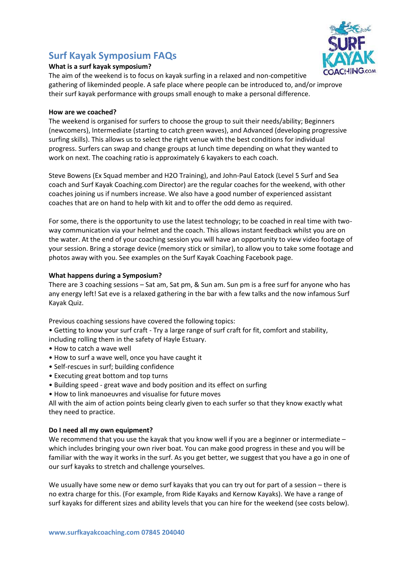# **Surf Kayak Symposium FAQs**



## **What is a surf kayak symposium?**

The aim of the weekend is to focus on kayak surfing in a relaxed and non-competitive gathering of likeminded people. A safe place where people can be introduced to, and/or improve their surf kayak performance with groups small enough to make a personal difference.

## **How are we coached?**

The weekend is organised for surfers to choose the group to suit their needs/ability; Beginners (newcomers), Intermediate (starting to catch green waves), and Advanced (developing progressive surfing skills). This allows us to select the right venue with the best conditions for individual progress. Surfers can swap and change groups at lunch time depending on what they wanted to work on next. The coaching ratio is approximately 6 kayakers to each coach.

Steve Bowens (Ex Squad member and H2O Training), and John-Paul Eatock (Level 5 Surf and Sea coach and Surf Kayak Coaching.com Director) are the regular coaches for the weekend, with other coaches joining us if numbers increase. We also have a good number of experienced assistant coaches that are on hand to help with kit and to offer the odd demo as required.

For some, there is the opportunity to use the latest technology; to be coached in real time with twoway communication via your helmet and the coach. This allows instant feedback whilst you are on the water. At the end of your coaching session you will have an opportunity to view video footage of your session. Bring a storage device (memory stick or similar), to allow you to take some footage and photos away with you. See examples on the Surf Kayak Coaching Facebook page.

## **What happens during a Symposium?**

There are 3 coaching sessions – Sat am, Sat pm, & Sun am. Sun pm is a free surf for anyone who has any energy left! Sat eve is a relaxed gathering in the bar with a few talks and the now infamous Surf Kayak Quiz.

Previous coaching sessions have covered the following topics:

- Getting to know your surf craft Try a large range of surf craft for fit, comfort and stability, including rolling them in the safety of Hayle Estuary.
- How to catch a wave well
- How to surf a wave well, once you have caught it
- Self-rescues in surf; building confidence
- Executing great bottom and top turns
- Building speed great wave and body position and its effect on surfing
- How to link manoeuvres and visualise for future moves

All with the aim of action points being clearly given to each surfer so that they know exactly what they need to practice.

#### **Do I need all my own equipment?**

We recommend that you use the kayak that you know well if you are a beginner or intermediate which includes bringing your own river boat. You can make good progress in these and you will be familiar with the way it works in the surf. As you get better, we suggest that you have a go in one of our surf kayaks to stretch and challenge yourselves.

We usually have some new or demo surf kayaks that you can try out for part of a session – there is no extra charge for this. (For example, from Ride Kayaks and Kernow Kayaks). We have a range of surf kayaks for different sizes and ability levels that you can hire for the weekend (see costs below).